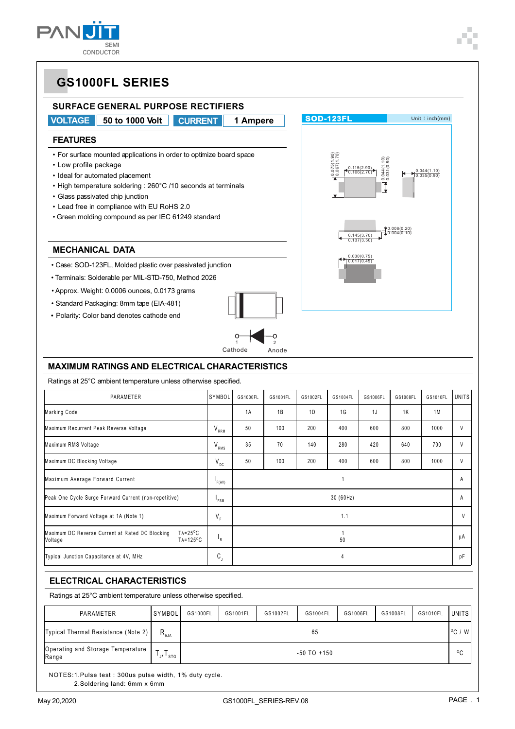

**SOD-123FL** Unit: inch(mm)

0.044(1.10) 0.031(0.80)

 $0.145(3.70)$   $0.004(0.10)$ 

0.008(0.20)

0.044(1.10) 0.035(0.90)

0.115(2.90) 0.106(2.70)

0.075(1.90) 0.067(1.70)

0.030(0.75) 0.017(0.45)

## **GS1000FL SERIES**

### **SURFACE GENERAL PURPOSE RECTIFIERS**

**VOLTAGE 50 to 1000 Volt CURRENT 1 Ampere**

#### **FEATURES**

• For surface mounted applications in order to optimize board space

- Low profile package
- Ideal for automated placement
- High temperature soldering : 260°C /10 seconds at terminals
- Glass passivated chip junction
- Lead free in compliance with EU RoHS 2.0
- Green molding compound as per IEC 61249 standard

#### **MECHANICAL DATA**

- Case: SOD-123FL, Molded plastic over passivated junction
- Terminals: Solderable per MIL-STD-750, Method 2026
- Approx. Weight: 0.0006 ounces, 0.0173 grams
- Standard Packaging: 8mm tape (EIA-481)
- *•* Polarity: Color band denotes cathode end



### **MAXIMUM RATINGS AND ELECTRICAL CHARACTERISTICS**

Ratings at 25°C ambient temperature unless otherwise specified.

| PARAMETER                                                                                               | SYMBOL          | GS1000FL  | GS1001FL | GS1002FL | GS1004FL | GS1006FL | GS1008FL | GS1010FL | <b>UNITS</b> |
|---------------------------------------------------------------------------------------------------------|-----------------|-----------|----------|----------|----------|----------|----------|----------|--------------|
| Marking Code                                                                                            |                 | 1A        | 1B       | 1D       | 1G       | 1J       | 1K       | 1M       |              |
| Maximum Recurrent Peak Reverse Voltage                                                                  | $V_{RRM}$       | 50        | 100      | 200      | 400      | 600      | 800      | 1000     | $\vee$       |
| Maximum RMS Voltage                                                                                     | $V_{RMS}$       | 35        | 70       | 140      | 280      | 420      | 640      | 700      | V            |
| Maximum DC Blocking Voltage                                                                             | $V_{\text{DC}}$ | 50        | 100      | 200      | 400      | 600      | 800      | 1000     | V            |
| Maximum Average Forward Current                                                                         |                 |           |          |          |          |          |          | A        |              |
| Peak One Cycle Surge Forward Current (non-repetitive)                                                   |                 | 30 (60Hz) |          |          |          |          |          |          | A            |
| Maximum Forward Voltage at 1A (Note 1)                                                                  | $V_F$           | 1.1       |          |          |          |          |          | V        |              |
| $TA = 25^{\circ}C$<br>Maximum DC Reverse Current at Rated DC Blocking<br>$TA = 125^{\circ}C$<br>Voltage | $P_R$           | 50        |          |          |          |          |          | μA       |              |
| $\mathsf{C}^{\vphantom{\dagger}}$<br>Typical Junction Capacitance at 4V, MHz<br>4                       |                 |           |          |          |          | рF       |          |          |              |

### **ELECTRICAL CHARACTERISTICS**

Ratings at 25°C ambient temperature unless otherwise specified.

| PARAMETER                                  | <b>SYMBOL</b>                      | GS1000FL             | GS1001FL | GS1002FL | GS1004FL | GS1006FL | GS1008FL | GS1010FL | UNITS        |
|--------------------------------------------|------------------------------------|----------------------|----------|----------|----------|----------|----------|----------|--------------|
| Typical Thermal Resistance (Note 2)        | $R_{\scriptscriptstyle{\theta}$ JA | $^{\circ}$ C /<br>65 |          |          |          |          |          |          |              |
| Operating and Storage Temperature<br>Range | $\cdot \cdot$ stg                  | $-50$ TO $+150$      |          |          |          |          |          |          | $^{\circ}$ C |

NOTES:1.Pulse test : 300us pulse width, 1% duty cycle. 2.Soldering land: 6mm x 6mm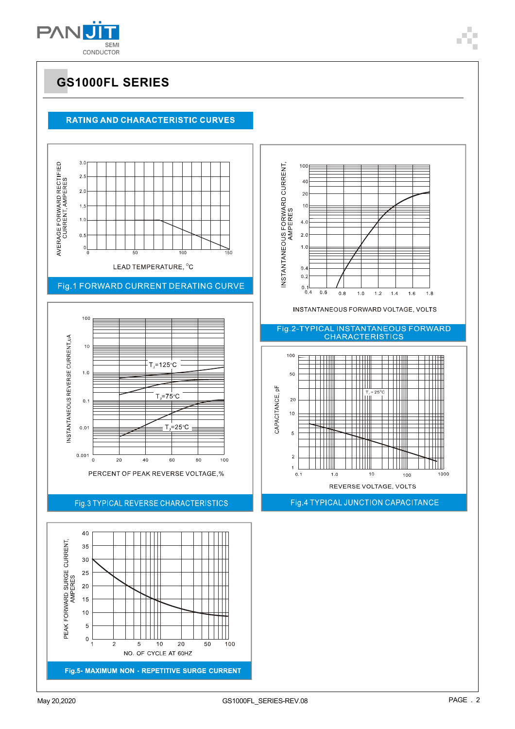

## **GS1000FL SERIES**

### **RATING AND CHARACTERISTIC CURVES**

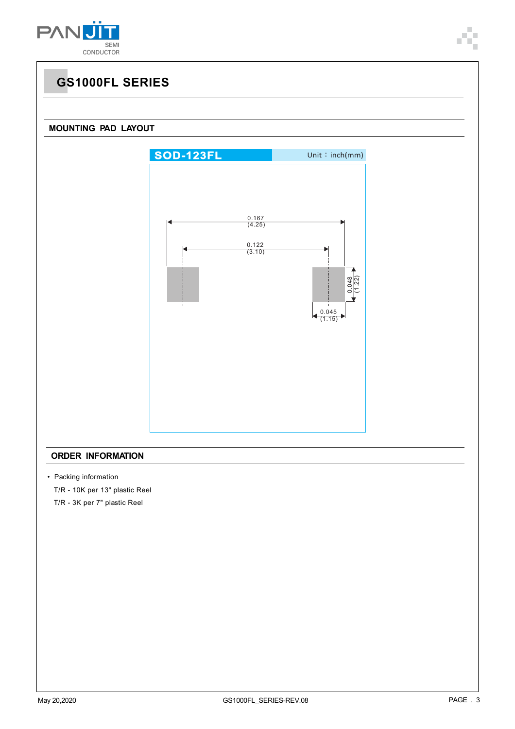



#### **ORDER INFORMATION**

- Packing information
	- T/R 10K per 13" plastic Reel
	- T/R 3K per 7" plastic Reel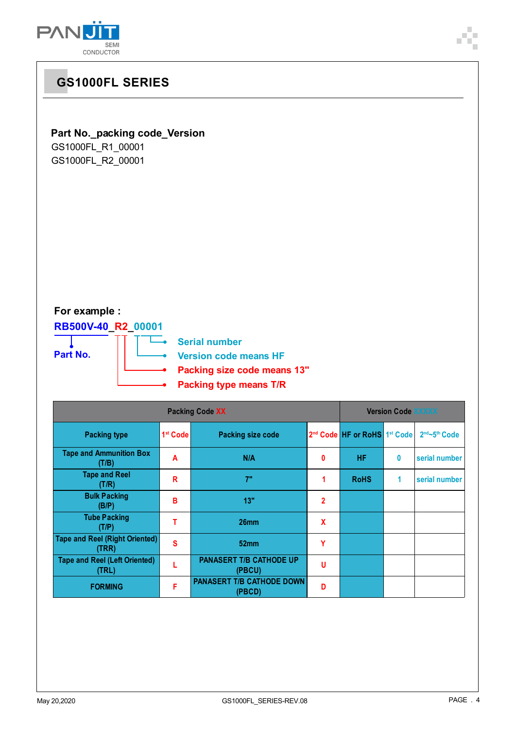



**(PBCD) <sup>D</sup>**

**FORMING F PANASERT T/B CATHODE DOWN**